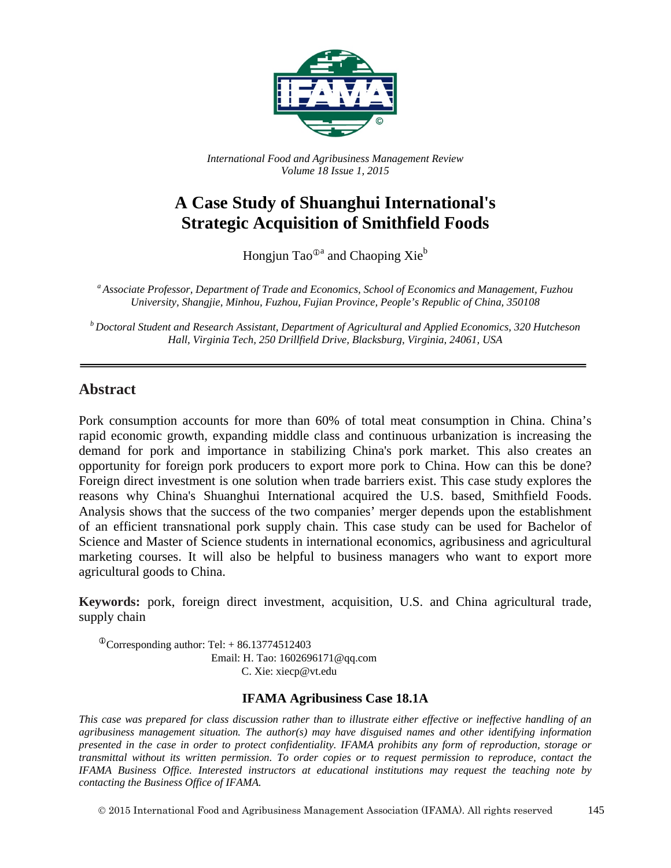

*International Food and Agribusiness Management Review Volume 18 Issue 1, 2015*

# **A Case Study of Shuanghui International's Strategic Acquisition of Smithfield Foods**

Hongjun Tao<sup>®a</sup> and Chaoping Xie<sup>b</sup>

*<sup>a</sup> Associate Professor, Department of Trade and Economics, School of Economics and Management, Fuzhou University, Shangjie, Minhou, Fuzhou, Fujian Province, People's Republic of China, 350108*

*<sup>b</sup> Doctoral Student and Research Assistant, Department of Agricultural and Applied Economics, 320 Hutcheson Hall, Virginia Tech, 250 Drillfield Drive, Blacksburg, Virginia, 24061, USA*

#### **Abstract**

Pork consumption accounts for more than 60% of total meat consumption in China. China's rapid economic growth, expanding middle class and continuous urbanization is increasing the demand for pork and importance in stabilizing China's pork market. This also creates an opportunity for foreign pork producers to export more pork to China. How can this be done? Foreign direct investment is one solution when trade barriers exist. This case study explores the reasons why China's Shuanghui International acquired the U.S. based, Smithfield Foods. Analysis shows that the success of the two companies' merger depends upon the establishment of an efficient transnational pork supply chain. This case study can be used for Bachelor of Science and Master of Science students in international economics, agribusiness and agricultural marketing courses. It will also be helpful to business managers who want to export more agricultural goods to China.

**Keywords:** pork, foreign direct investment, acquisition, U.S. and China agricultural trade, supply chain

 $\textcirc{}$ Corresponding author: Tel: + 86.13774512403 Email: H. Tao: 1602696171@qq.com C. Xie: xiecp@vt.edu

#### **IFAMA Agribusiness Case 18.1A**

*This case was prepared for class discussion rather than to illustrate either effective or ineffective handling of an agribusiness management situation. The author(s) may have disguised names and other identifying information presented in the case in order to protect confidentiality. IFAMA prohibits any form of reproduction, storage or transmittal without its written permission. To order copies or to request permission to reproduce, contact the IFAMA Business Office. Interested instructors at educational institutions may request the teaching note by contacting the Business Office of IFAMA.*

2015 International Food and Agribusiness Management Association (IFAMA). All rights reserved 145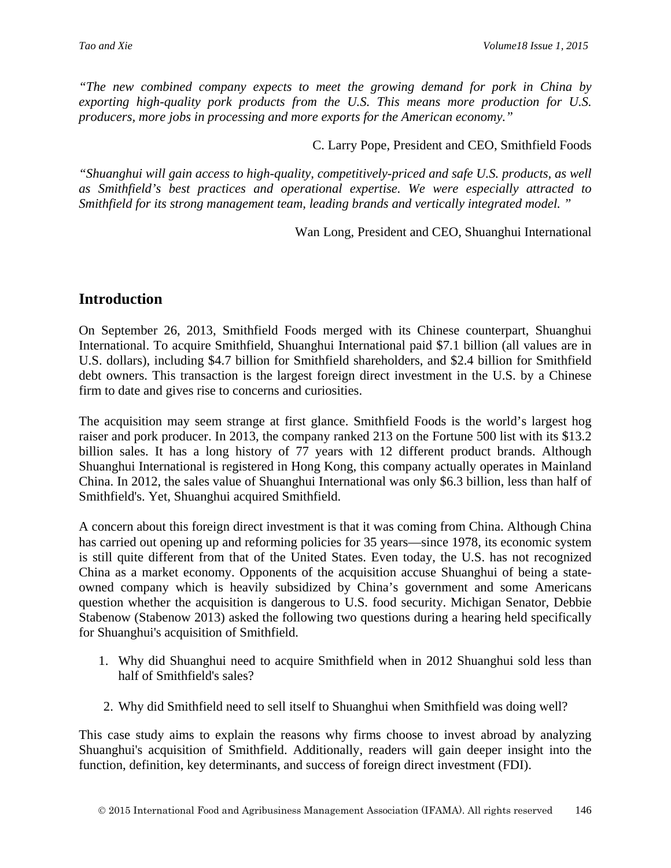*"The new combined company expects to meet the growing demand for pork in China by exporting high-quality pork products from the U.S. This means more production for U.S. producers, more jobs in processing and more exports for the American economy."*

C. Larry Pope, President and CEO, Smithfield Foods

*"Shuanghui will gain access to high-quality, competitively-priced and safe U.S. products, as well as Smithfield's best practices and operational expertise. We were especially attracted to Smithfield for its strong management team, leading brands and vertically integrated model. "*

Wan Long, President and CEO, Shuanghui International

## **Introduction**

On September 26, 2013, Smithfield Foods merged with its Chinese counterpart, Shuanghui International. To acquire Smithfield, Shuanghui International paid \$7.1 billion (all values are in U.S. dollars), including \$4.7 billion for Smithfield shareholders, and \$2.4 billion for Smithfield debt owners. This transaction is the largest foreign direct investment in the U.S. by a Chinese firm to date and gives rise to concerns and curiosities.

The acquisition may seem strange at first glance. Smithfield Foods is the world's largest hog raiser and pork producer. In 2013, the company ranked 213 on the Fortune 500 list with its \$13.2 billion sales. It has a long history of 77 years with 12 different product brands. Although Shuanghui International is registered in Hong Kong, this company actually operates in Mainland China. In 2012, the sales value of Shuanghui International was only \$6.3 billion, less than half of Smithfield's. Yet, Shuanghui acquired Smithfield.

A concern about this foreign direct investment is that it was coming from China. Although China has carried out opening up and reforming policies for 35 years—since 1978, its economic system is still quite different from that of the United States. Even today, the U.S. has not recognized China as a market economy. Opponents of the acquisition accuse Shuanghui of being a stateowned company which is heavily subsidized by China's government and some Americans question whether the acquisition is dangerous to U.S. food security. Michigan Senator, Debbie Stabenow (Stabenow 2013) asked the following two questions during a hearing held specifically for Shuanghui's acquisition of Smithfield.

- 1. Why did Shuanghui need to acquire Smithfield when in 2012 Shuanghui sold less than half of Smithfield's sales?
- 2. Why did Smithfield need to sell itself to Shuanghui when Smithfield was doing well?

This case study aims to explain the reasons why firms choose to invest abroad by analyzing Shuanghui's acquisition of Smithfield. Additionally, readers will gain deeper insight into the function, definition, key determinants, and success of foreign direct investment (FDI).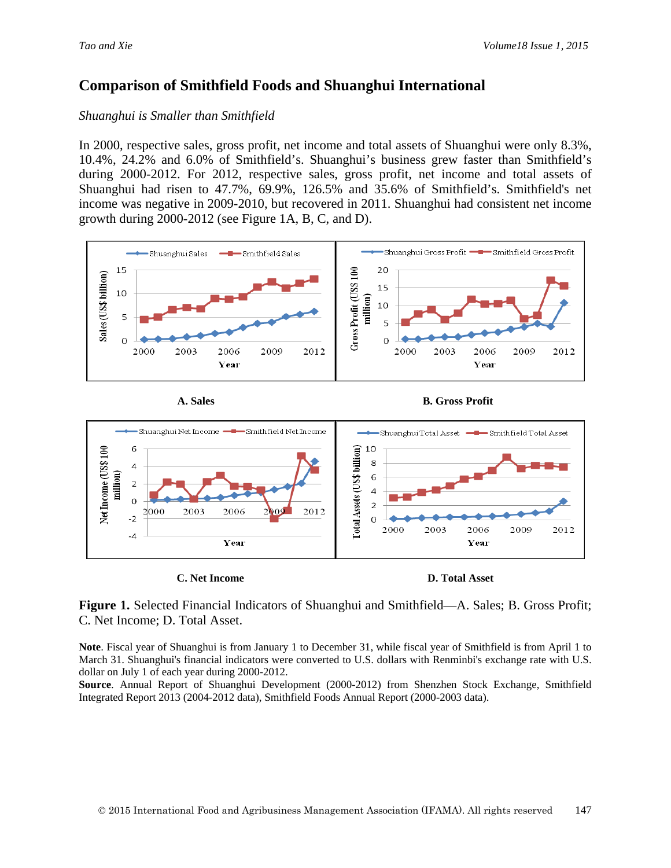## **Comparison of Smithfield Foods and Shuanghui International**

#### *Shuanghui is Smaller than Smithfield*

In 2000, respective sales, gross profit, net income and total assets of Shuanghui were only 8.3%, 10.4%, 24.2% and 6.0% of Smithfield's. Shuanghui's business grew faster than Smithfield's during 2000-2012. For 2012, respective sales, gross profit, net income and total assets of Shuanghui had risen to 47.7%, 69.9%, 126.5% and 35.6% of Smithfield's. Smithfield's net income was negative in 2009-2010, but recovered in 2011. Shuanghui had consistent net income growth during 2000-2012 (see Figure 1A, B, C, and D).





A. Sales **B. Gross Profit** 



**Figure 1.** Selected Financial Indicators of Shuanghui and Smithfield—A. Sales; B. Gross Profit; C. Net Income; D. Total Asset.

**Note**. Fiscal year of Shuanghui is from January 1 to December 31, while fiscal year of Smithfield is from April 1 to March 31. Shuanghui's financial indicators were converted to U.S. dollars with Renminbi's exchange rate with U.S. dollar on July 1 of each year during 2000-2012.

**Source**. Annual Report of Shuanghui Development (2000-2012) from Shenzhen Stock Exchange, Smithfield Integrated Report 2013 (2004-2012 data), Smithfield Foods Annual Report (2000-2003 data).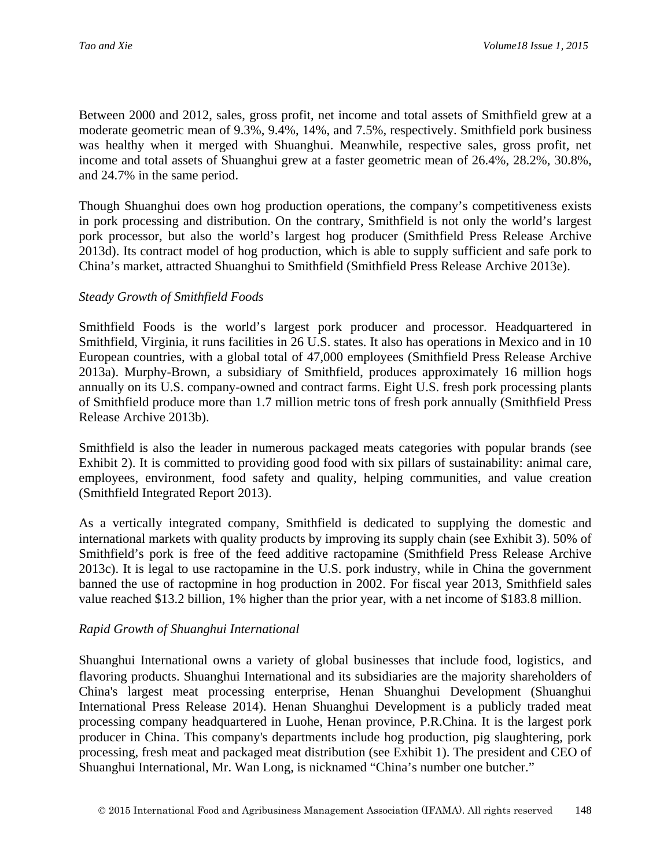Between 2000 and 2012, sales, gross profit, net income and total assets of Smithfield grew at a moderate geometric mean of 9.3%, 9.4%, 14%, and 7.5%, respectively. Smithfield pork business was healthy when it merged with Shuanghui. Meanwhile, respective sales, gross profit, net income and total assets of Shuanghui grew at a faster geometric mean of 26.4%, 28.2%, 30.8%, and 24.7% in the same period.

Though Shuanghui does own hog production operations, the company's competitiveness exists in pork processing and distribution. On the contrary, Smithfield is not only the world's largest pork processor, but also the world's largest hog producer (Smithfield Press Release Archive 2013d). Its contract model of hog production, which is able to supply sufficient and safe pork to China's market, attracted Shuanghui to Smithfield (Smithfield Press Release Archive 2013e).

#### *Steady Growth of Smithfield Foods*

Smithfield Foods is the world's largest pork producer and processor. Headquartered in Smithfield, Virginia, it runs facilities in 26 U.S. states. It also has operations in Mexico and in 10 European countries, with a global total of 47,000 employees (Smithfield Press Release Archive 2013a). Murphy-Brown, a subsidiary of Smithfield, produces approximately 16 million hogs annually on its U.S. company-owned and contract farms. Eight U.S. fresh pork processing plants of Smithfield produce more than 1.7 million metric tons of fresh pork annually (Smithfield Press Release Archive 2013b).

Smithfield is also the leader in numerous packaged meats categories with popular brands (see Exhibit 2). It is committed to providing good food with six pillars of sustainability: animal care, employees, environment, food safety and quality, helping communities, and value creation (Smithfield Integrated Report 2013).

As a vertically integrated company, Smithfield is dedicated to supplying the domestic and international markets with quality products by improving its supply chain (see Exhibit 3). 50% of Smithfield's pork is free of the feed additive ractopamine (Smithfield Press Release Archive 2013c). It is legal to use ractopamine in the U.S. pork industry, while in China the government banned the use of ractopmine in hog production in 2002. For fiscal year 2013, Smithfield sales value reached \$13.2 billion, 1% higher than the prior year, with a net income of \$183.8 million.

#### *Rapid Growth of Shuanghui International*

Shuanghui International owns a variety of global businesses that include food, logistics, and flavoring products. Shuanghui International and its subsidiaries are the majority shareholders of China's largest meat processing enterprise, Henan Shuanghui Development (Shuanghui International Press Release 2014). Henan Shuanghui Development is a publicly traded meat processing company headquartered in Luohe, Henan province, P.R.China. It is the largest pork producer in China. This company's departments include hog production, pig slaughtering, pork processing, fresh meat and packaged meat distribution (see Exhibit 1). The president and CEO of Shuanghui International, Mr. Wan Long, is nicknamed "China's number one butcher."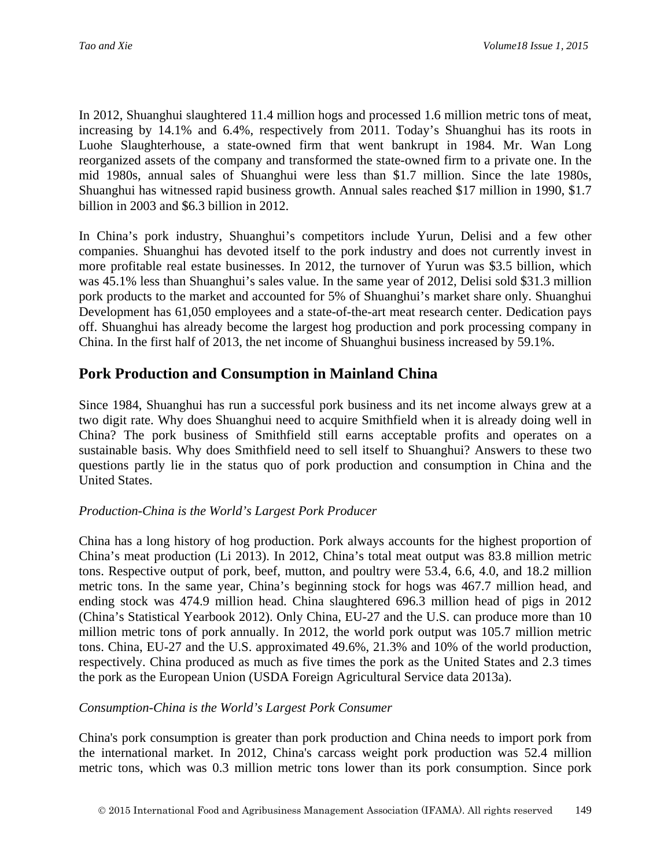In 2012, Shuanghui slaughtered 11.4 million hogs and processed 1.6 million metric tons of meat, increasing by 14.1% and 6.4%, respectively from 2011. Today's Shuanghui has its roots in Luohe Slaughterhouse, a state-owned firm that went bankrupt in 1984. Mr. Wan Long reorganized assets of the company and transformed the state-owned firm to a private one. In the mid 1980s, annual sales of Shuanghui were less than \$1.7 million. Since the late 1980s, Shuanghui has witnessed rapid business growth. Annual sales reached \$17 million in 1990, \$1.7 billion in 2003 and \$6.3 billion in 2012.

In China's pork industry, Shuanghui's competitors include Yurun, Delisi and a few other companies. Shuanghui has devoted itself to the pork industry and does not currently invest in more profitable real estate businesses. In 2012, the turnover of Yurun was \$3.5 billion, which was 45.1% less than Shuanghui's sales value. In the same year of 2012, Delisi sold \$31.3 million pork products to the market and accounted for 5% of Shuanghui's market share only. Shuanghui Development has 61,050 employees and a state-of-the-art meat research center. Dedication pays off. Shuanghui has already become the largest hog production and pork processing company in China. In the first half of 2013, the net income of Shuanghui business increased by 59.1%.

## **Pork Production and Consumption in Mainland China**

Since 1984, Shuanghui has run a successful pork business and its net income always grew at a two digit rate. Why does Shuanghui need to acquire Smithfield when it is already doing well in China? The pork business of Smithfield still earns acceptable profits and operates on a sustainable basis. Why does Smithfield need to sell itself to Shuanghui? Answers to these two questions partly lie in the status quo of pork production and consumption in China and the United States.

#### *Production-China is the World's Largest Pork Producer*

China has a long history of hog production. Pork always accounts for the highest proportion of China's meat production (Li 2013). In 2012, China's total meat output was 83.8 million metric tons. Respective output of pork, beef, mutton, and poultry were 53.4, 6.6, 4.0, and 18.2 million metric tons. In the same year, China's beginning stock for hogs was 467.7 million head, and ending stock was 474.9 million head. China slaughtered 696.3 million head of pigs in 2012 (China's Statistical Yearbook 2012). Only China, EU-27 and the U.S. can produce more than 10 million metric tons of pork annually. In 2012, the world pork output was 105.7 million metric tons. China, EU-27 and the U.S. approximated 49.6%, 21.3% and 10% of the world production, respectively. China produced as much as five times the pork as the United States and 2.3 times the pork as the European Union (USDA Foreign Agricultural Service data 2013a).

#### *Consumption-China is the World's Largest Pork Consumer*

China's pork consumption is greater than pork production and China needs to import pork from the international market. In 2012, China's carcass weight pork production was 52.4 million metric tons, which was 0.3 million metric tons lower than its pork consumption. Since pork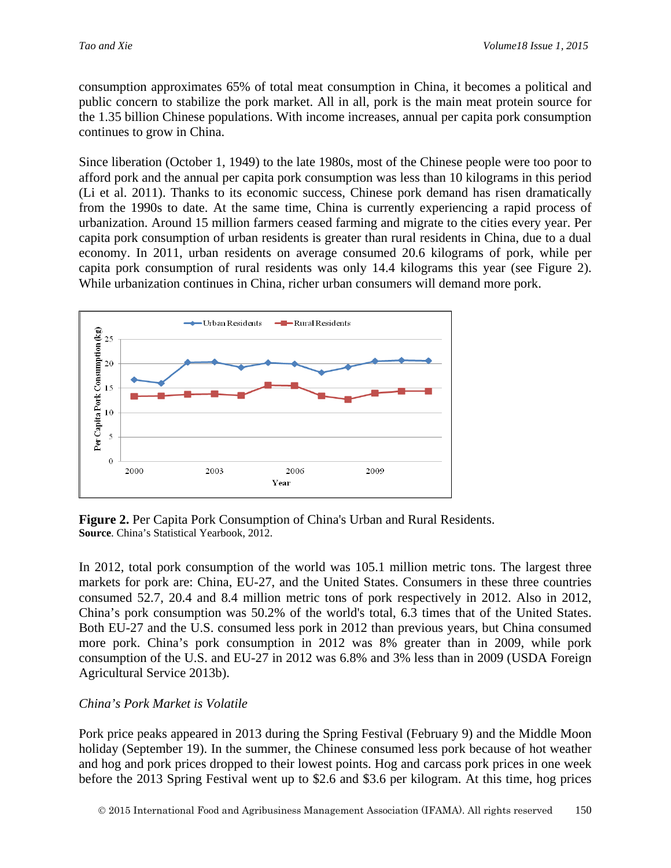consumption approximates 65% of total meat consumption in China, it becomes a political and public concern to stabilize the pork market. All in all, pork is the main meat protein source for the 1.35 billion Chinese populations. With income increases, annual per capita pork consumption continues to grow in China.

Since liberation (October 1, 1949) to the late 1980s, most of the Chinese people were too poor to afford pork and the annual per capita pork consumption was less than 10 kilograms in this period (Li et al. 2011). Thanks to its economic success, Chinese pork demand has risen dramatically from the 1990s to date. At the same time, China is currently experiencing a rapid process of urbanization. Around 15 million farmers ceased farming and migrate to the cities every year. Per capita pork consumption of urban residents is greater than rural residents in China, due to a dual economy. In 2011, urban residents on average consumed 20.6 kilograms of pork, while per capita pork consumption of rural residents was only 14.4 kilograms this year (see Figure 2). While urbanization continues in China, richer urban consumers will demand more pork.



**Figure 2.** Per Capita Pork Consumption of China's Urban and Rural Residents. **Source**. China's Statistical Yearbook, 2012.

In 2012, total pork consumption of the world was 105.1 million metric tons. The largest three markets for pork are: China, EU-27, and the United States. Consumers in these three countries consumed 52.7, 20.4 and 8.4 million metric tons of pork respectively in 2012. Also in 2012, China's pork consumption was 50.2% of the world's total, 6.3 times that of the United States. Both EU-27 and the U.S. consumed less pork in 2012 than previous years, but China consumed more pork. China's pork consumption in 2012 was 8% greater than in 2009, while pork consumption of the U.S. and EU-27 in 2012 was 6.8% and 3% less than in 2009 (USDA Foreign Agricultural Service 2013b).

#### *China's Pork Market is Volatile*

Pork price peaks appeared in 2013 during the Spring Festival (February 9) and the Middle Moon holiday (September 19). In the summer, the Chinese consumed less pork because of hot weather and hog and pork prices dropped to their lowest points. Hog and carcass pork prices in one week before the 2013 Spring Festival went up to \$2.6 and \$3.6 per kilogram. At this time, hog prices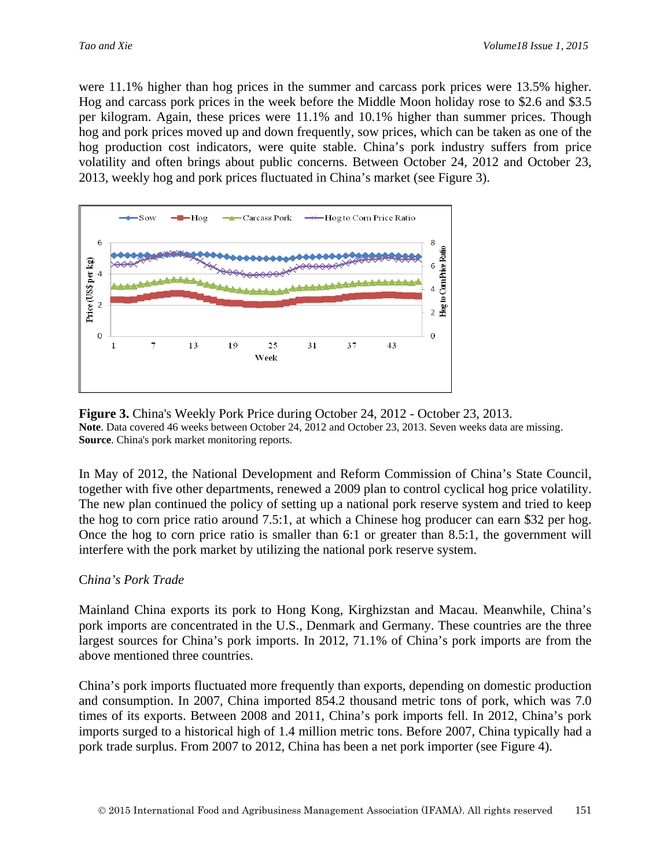were 11.1% higher than hog prices in the summer and carcass pork prices were 13.5% higher. Hog and carcass pork prices in the week before the Middle Moon holiday rose to \$2.6 and \$3.5 per kilogram. Again, these prices were 11.1% and 10.1% higher than summer prices. Though hog and pork prices moved up and down frequently, sow prices, which can be taken as one of the hog production cost indicators, were quite stable. China's pork industry suffers from price volatility and often brings about public concerns. Between October 24, 2012 and October 23, 2013, weekly hog and pork prices fluctuated in China's market (see Figure 3).



**Figure 3.** China's Weekly Pork Price during October 24, 2012 - October 23, 2013. **Note**. Data covered 46 weeks between October 24, 2012 and October 23, 2013. Seven weeks data are missing. **Source**. China's pork market monitoring reports.

In May of 2012, the National Development and Reform Commission of China's State Council, together with five other departments, renewed a 2009 plan to control cyclical hog price volatility. The new plan continued the policy of setting up a national pork reserve system and tried to keep the hog to corn price ratio around 7.5:1, at which a Chinese hog producer can earn \$32 per hog. Once the hog to corn price ratio is smaller than 6:1 or greater than 8.5:1, the government will interfere with the pork market by utilizing the national pork reserve system.

#### C*hina's Pork Trade*

Mainland China exports its pork to Hong Kong, Kirghizstan and Macau. Meanwhile, China's pork imports are concentrated in the U.S., Denmark and Germany. These countries are the three largest sources for China's pork imports. In 2012, 71.1% of China's pork imports are from the above mentioned three countries.

China's pork imports fluctuated more frequently than exports, depending on domestic production and consumption. In 2007, China imported 854.2 thousand metric tons of pork, which was 7.0 times of its exports. Between 2008 and 2011, China's pork imports fell. In 2012, China's pork imports surged to a historical high of 1.4 million metric tons. Before 2007, China typically had a pork trade surplus. From 2007 to 2012, China has been a net pork importer (see Figure 4).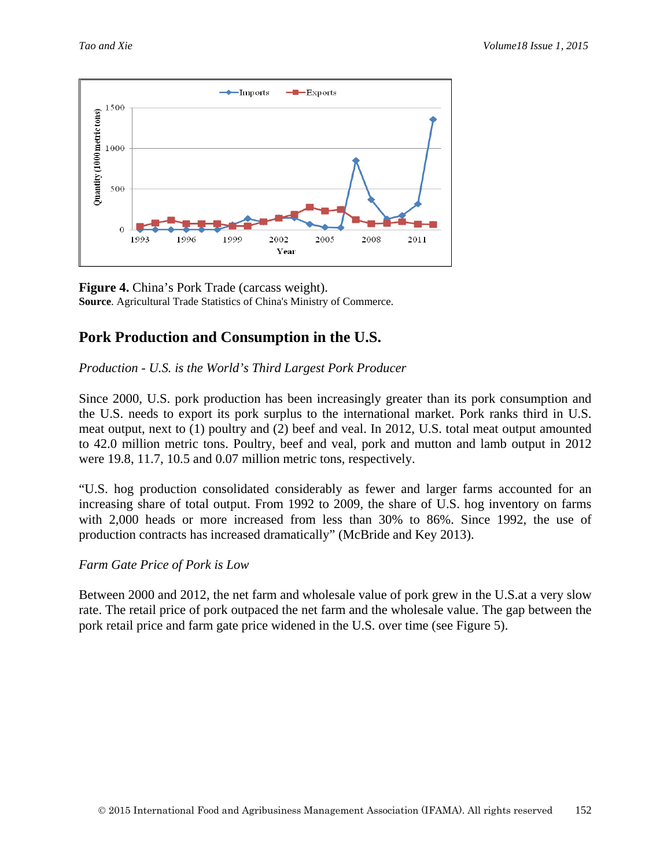

**Figure 4.** China's Pork Trade (carcass weight). **Source**. Agricultural Trade Statistics of China's Ministry of Commerce.

# **Pork Production and Consumption in the U.S.**

*Production - U.S. is the World's Third Largest Pork Producer*

Since 2000, U.S. pork production has been increasingly greater than its pork consumption and the U.S. needs to export its pork surplus to the international market. Pork ranks third in U.S. meat output, next to (1) poultry and (2) beef and veal. In 2012, U.S. total meat output amounted to 42.0 million metric tons. Poultry, beef and veal, pork and mutton and lamb output in 2012 were 19.8, 11.7, 10.5 and 0.07 million metric tons, respectively.

"U.S. hog production consolidated considerably as fewer and larger farms accounted for an increasing share of total output. From 1992 to 2009, the share of U.S. hog inventory on farms with 2,000 heads or more increased from less than 30% to 86%. Since 1992, the use of production contracts has increased dramatically" (McBride and Key 2013).

*Farm Gate Price of Pork is Low*

Between 2000 and 2012, the net farm and wholesale value of pork grew in the U.S.at a very slow rate. The retail price of pork outpaced the net farm and the wholesale value. The gap between the pork retail price and farm gate price widened in the U.S. over time (see Figure 5).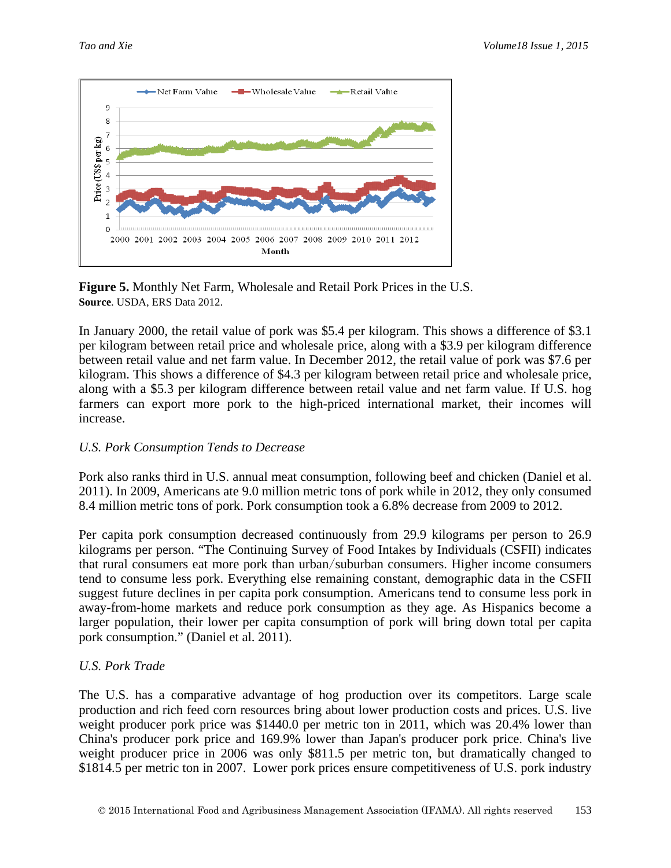

**Figure 5.** Monthly Net Farm, Wholesale and Retail Pork Prices in the U.S. **Source**. USDA, ERS Data 2012.

In January 2000, the retail value of pork was \$5.4 per kilogram. This shows a difference of \$3.1 per kilogram between retail price and wholesale price, along with a \$3.9 per kilogram difference between retail value and net farm value. In December 2012, the retail value of pork was \$7.6 per kilogram. This shows a difference of \$4.3 per kilogram between retail price and wholesale price, along with a \$5.3 per kilogram difference between retail value and net farm value. If U.S. hog farmers can export more pork to the high-priced international market, their incomes will increase.

#### *U.S. Pork Consumption Tends to Decrease*

Pork also ranks third in U.S. annual meat consumption, following beef and chicken (Daniel et al. 2011). In 2009, Americans ate 9.0 million metric tons of pork while in 2012, they only consumed 8.4 million metric tons of pork. Pork consumption took a 6.8% decrease from 2009 to 2012.

Per capita pork consumption decreased continuously from 29.9 kilograms per person to 26.9 kilograms per person. "The Continuing Survey of Food Intakes by Individuals (CSFII) indicates that rural consumers eat more pork than urban/suburban consumers. Higher income consumers tend to consume less pork. Everything else remaining constant, demographic data in the CSFII suggest future declines in per capita pork consumption. Americans tend to consume less pork in away-from-home markets and reduce pork consumption as they age. As Hispanics become a larger population, their lower per capita consumption of pork will bring down total per capita pork consumption." (Daniel et al. 2011).

#### *U.S. Pork Trade*

The U.S. has a comparative advantage of hog production over its competitors. Large scale production and rich feed corn resources bring about lower production costs and prices. U.S. live weight producer pork price was \$1440.0 per metric ton in 2011, which was 20.4% lower than China's producer pork price and 169.9% lower than Japan's producer pork price. China's live weight producer price in 2006 was only \$811.5 per metric ton, but dramatically changed to \$1814.5 per metric ton in 2007. Lower pork prices ensure competitiveness of U.S. pork industry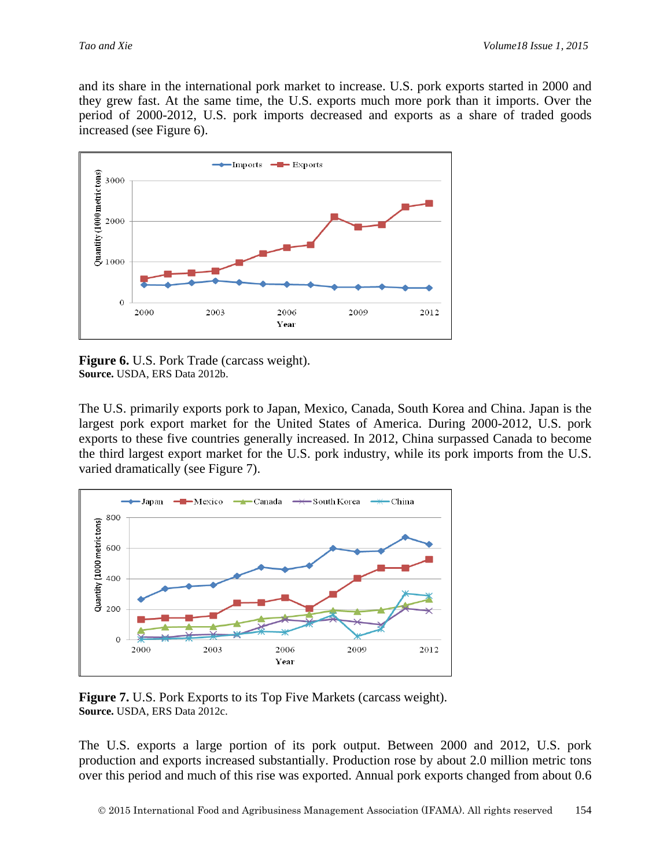and its share in the international pork market to increase. U.S. pork exports started in 2000 and they grew fast. At the same time, the U.S. exports much more pork than it imports. Over the period of 2000-2012, U.S. pork imports decreased and exports as a share of traded goods increased (see Figure 6).



**Figure 6.** U.S. Pork Trade (carcass weight). **Source.** USDA, ERS Data 2012b.

The U.S. primarily exports pork to Japan, Mexico, Canada, South Korea and China. Japan is the largest pork export market for the United States of America. During 2000-2012, U.S. pork exports to these five countries generally increased. In 2012, China surpassed Canada to become the third largest export market for the U.S. pork industry, while its pork imports from the U.S. varied dramatically (see Figure 7).



**Figure 7.** U.S. Pork Exports to its Top Five Markets (carcass weight). **Source.** USDA, ERS Data 2012c.

The U.S. exports a large portion of its pork output. Between 2000 and 2012, U.S. pork production and exports increased substantially. Production rose by about 2.0 million metric tons over this period and much of this rise was exported. Annual pork exports changed from about 0.6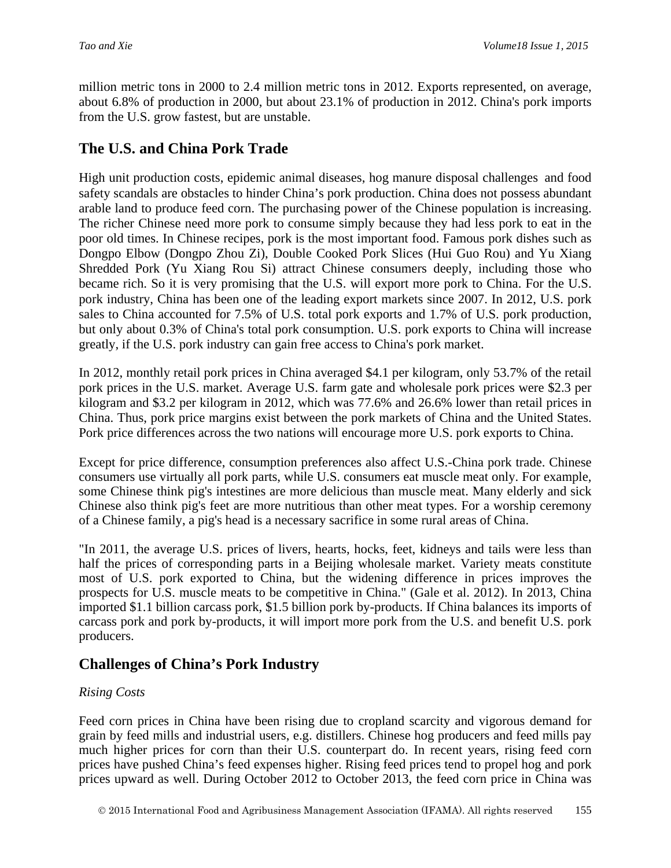million metric tons in 2000 to 2.4 million metric tons in 2012. Exports represented, on average, about 6.8% of production in 2000, but about 23.1% of production in 2012. China's pork imports from the U.S. grow fastest, but are unstable.

## **The U.S. and China Pork Trade**

High unit production costs, epidemic animal diseases, hog manure disposal challenges and food safety scandals are obstacles to hinder China's pork production. China does not possess abundant arable land to produce feed corn. The purchasing power of the Chinese population is increasing. The richer Chinese need more pork to consume simply because they had less pork to eat in the poor old times. In Chinese recipes, pork is the most important food. Famous pork dishes such as Dongpo Elbow (Dongpo Zhou Zi), Double Cooked Pork Slices (Hui Guo Rou) and Yu Xiang Shredded Pork (Yu Xiang Rou Si) attract Chinese consumers deeply, including those who became rich. So it is very promising that the U.S. will export more pork to China. For the U.S. pork industry, China has been one of the leading export markets since 2007. In 2012, U.S. pork sales to China accounted for 7.5% of U.S. total pork exports and 1.7% of U.S. pork production, but only about 0.3% of China's total pork consumption. U.S. pork exports to China will increase greatly, if the U.S. pork industry can gain free access to China's pork market.

In 2012, monthly retail pork prices in China averaged \$4.1 per kilogram, only 53.7% of the retail pork prices in the U.S. market. Average U.S. farm gate and wholesale pork prices were \$2.3 per kilogram and \$3.2 per kilogram in 2012, which was 77.6% and 26.6% lower than retail prices in China. Thus, pork price margins exist between the pork markets of China and the United States. Pork price differences across the two nations will encourage more U.S. pork exports to China.

Except for price difference, consumption preferences also affect U.S.-China pork trade. Chinese consumers use virtually all pork parts, while U.S. consumers eat muscle meat only. For example, some Chinese think pig's intestines are more delicious than muscle meat. Many elderly and sick Chinese also think pig's feet are more nutritious than other meat types. For a worship ceremony of a Chinese family, a pig's head is a necessary sacrifice in some rural areas of China.

"In 2011, the average U.S. prices of livers, hearts, hocks, feet, kidneys and tails were less than half the prices of corresponding parts in a Beijing wholesale market. Variety meats constitute most of U.S. pork exported to China, but the widening difference in prices improves the prospects for U.S. muscle meats to be competitive in China." (Gale et al. 2012). In 2013, China imported \$1.1 billion carcass pork, \$1.5 billion pork by-products. If China balances its imports of carcass pork and pork by-products, it will import more pork from the U.S. and benefit U.S. pork producers.

# **Challenges of China's Pork Industry**

#### *Rising Costs*

Feed corn prices in China have been rising due to cropland scarcity and vigorous demand for grain by feed mills and industrial users, e.g. distillers. Chinese hog producers and feed mills pay much higher prices for corn than their U.S. counterpart do. In recent years, rising feed corn prices have pushed China's feed expenses higher. Rising feed prices tend to propel hog and pork prices upward as well. During October 2012 to October 2013, the feed corn price in China was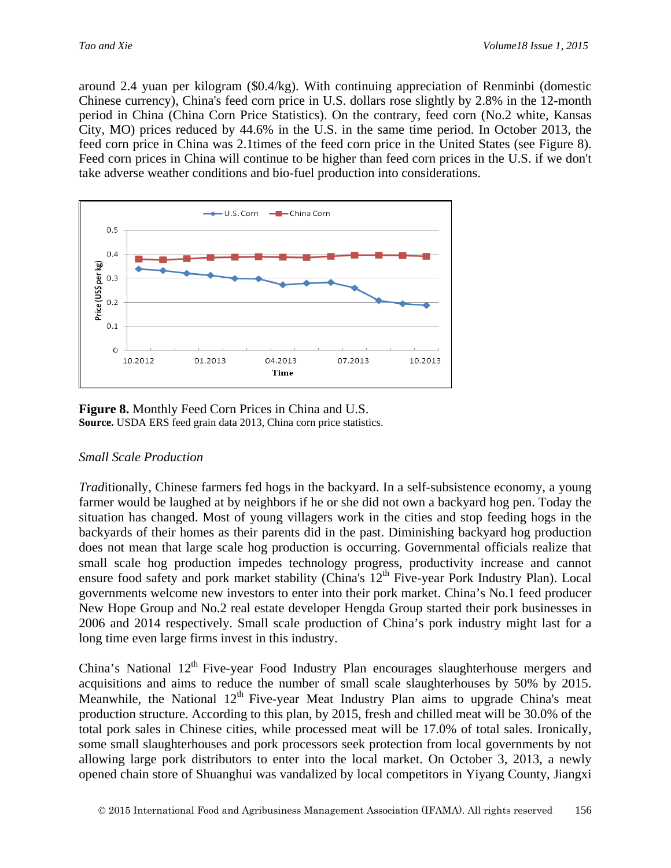around 2.4 yuan per kilogram (\$0.4/kg). With continuing appreciation of Renminbi (domestic Chinese currency), China's feed corn price in U.S. dollars rose slightly by 2.8% in the 12-month period in China (China Corn Price Statistics). On the contrary, feed corn (No.2 white, Kansas City, MO) prices reduced by 44.6% in the U.S. in the same time period. In October 2013, the feed corn price in China was 2.1times of the feed corn price in the United States (see Figure 8). Feed corn prices in China will continue to be higher than feed corn prices in the U.S. if we don't take adverse weather conditions and bio-fuel production into considerations.



**Figure 8.** Monthly Feed Corn Prices in China and U.S. **Source.** USDA ERS feed grain data 2013, China corn price statistics.

#### *Small Scale Production*

*Trad*itionally, Chinese farmers fed hogs in the backyard. In a self-subsistence economy, a young farmer would be laughed at by neighbors if he or she did not own a backyard hog pen. Today the situation has changed. Most of young villagers work in the cities and stop feeding hogs in the backyards of their homes as their parents did in the past. Diminishing backyard hog production does not mean that large scale hog production is occurring. Governmental officials realize that small scale hog production impedes technology progress, productivity increase and cannot ensure food safety and pork market stability (China's 12<sup>th</sup> Five-year Pork Industry Plan). Local governments welcome new investors to enter into their pork market. China's No.1 feed producer New Hope Group and No.2 real estate developer Hengda Group started their pork businesses in 2006 and 2014 respectively. Small scale production of China's pork industry might last for a long time even large firms invest in this industry.

China's National 12<sup>th</sup> Five-year Food Industry Plan encourages slaughterhouse mergers and acquisitions and aims to reduce the number of small scale slaughterhouses by 50% by 2015. Meanwhile, the National  $12<sup>th</sup>$  Five-year Meat Industry Plan aims to upgrade China's meat production structure. According to this plan, by 2015, fresh and chilled meat will be 30.0% of the total pork sales in Chinese cities, while processed meat will be 17.0% of total sales. Ironically, some small slaughterhouses and pork processors seek protection from local governments by not allowing large pork distributors to enter into the local market. On October 3, 2013, a newly opened chain store of Shuanghui was vandalized by local competitors in Yiyang County, Jiangxi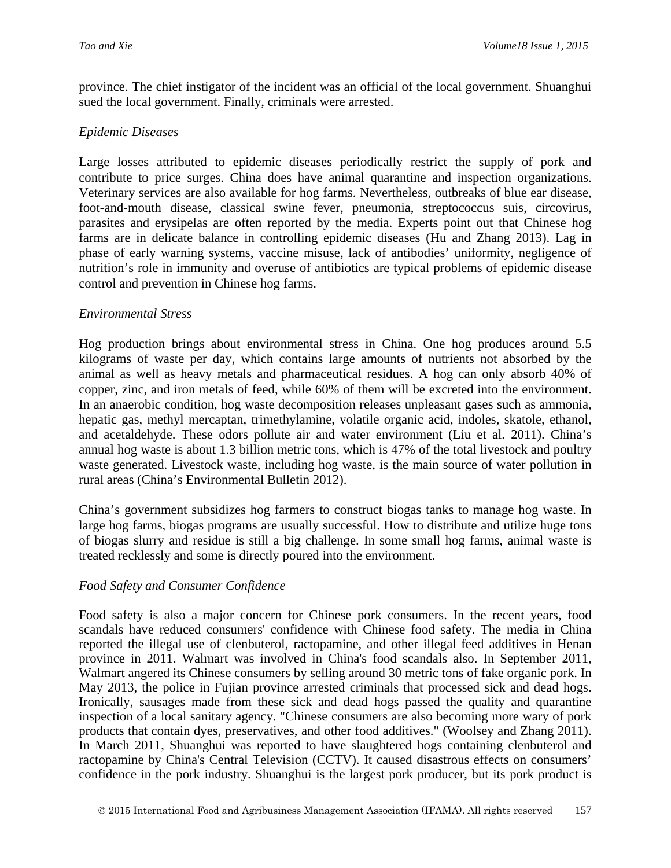province. The chief instigator of the incident was an official of the local government. Shuanghui sued the local government. Finally, criminals were arrested.

#### *Epidemic Diseases*

Large losses attributed to epidemic diseases periodically restrict the supply of pork and contribute to price surges. China does have animal quarantine and inspection organizations. Veterinary services are also available for hog farms. Nevertheless, outbreaks of blue ear disease, foot-and-mouth disease, classical swine fever, pneumonia, streptococcus suis, circovirus, parasites and erysipelas are often reported by the media. Experts point out that Chinese hog farms are in delicate balance in controlling epidemic diseases (Hu and Zhang 2013). Lag in phase of early warning systems, vaccine misuse, lack of antibodies' uniformity, negligence of nutrition's role in immunity and overuse of antibiotics are typical problems of epidemic disease control and prevention in Chinese hog farms.

#### *Environmental Stress*

Hog production brings about environmental stress in China. One hog produces around 5.5 kilograms of waste per day, which contains large amounts of nutrients not absorbed by the animal as well as heavy metals and pharmaceutical residues. A hog can only absorb 40% of copper, zinc, and iron metals of feed, while 60% of them will be excreted into the environment. In an anaerobic condition, hog waste decomposition releases unpleasant gases such as ammonia, hepatic gas, methyl mercaptan, trimethylamine, volatile organic acid, indoles, skatole, ethanol, and acetaldehyde. These odors pollute air and water environment (Liu et al. 2011). China's annual hog waste is about 1.3 billion metric tons, which is 47% of the total livestock and poultry waste generated. Livestock waste, including hog waste, is the main source of water pollution in rural areas (China's Environmental Bulletin 2012).

China's government subsidizes hog farmers to construct biogas tanks to manage hog waste. In large hog farms, biogas programs are usually successful. How to distribute and utilize huge tons of biogas slurry and residue is still a big challenge. In some small hog farms, animal waste is treated recklessly and some is directly poured into the environment.

#### *Food Safety and Consumer Confidence*

Food safety is also a major concern for Chinese pork consumers. In the recent years, food scandals have reduced consumers' confidence with Chinese food safety. The media in China reported the illegal use of clenbuterol, ractopamine, and other illegal feed additives in Henan province in 2011. Walmart was involved in China's food scandals also. In September 2011, Walmart angered its Chinese consumers by selling around 30 metric tons of fake organic pork. In May 2013, the police in Fujian province arrested criminals that processed sick and dead hogs. Ironically, sausages made from these sick and dead hogs passed the quality and quarantine inspection of a local sanitary agency. "Chinese consumers are also becoming more wary of pork products that contain dyes, preservatives, and other food additives." (Woolsey and Zhang 2011). In March 2011, Shuanghui was reported to have slaughtered hogs containing clenbuterol and ractopamine by China's Central Television (CCTV). It caused disastrous effects on consumers' confidence in the pork industry. Shuanghui is the largest pork producer, but its pork product is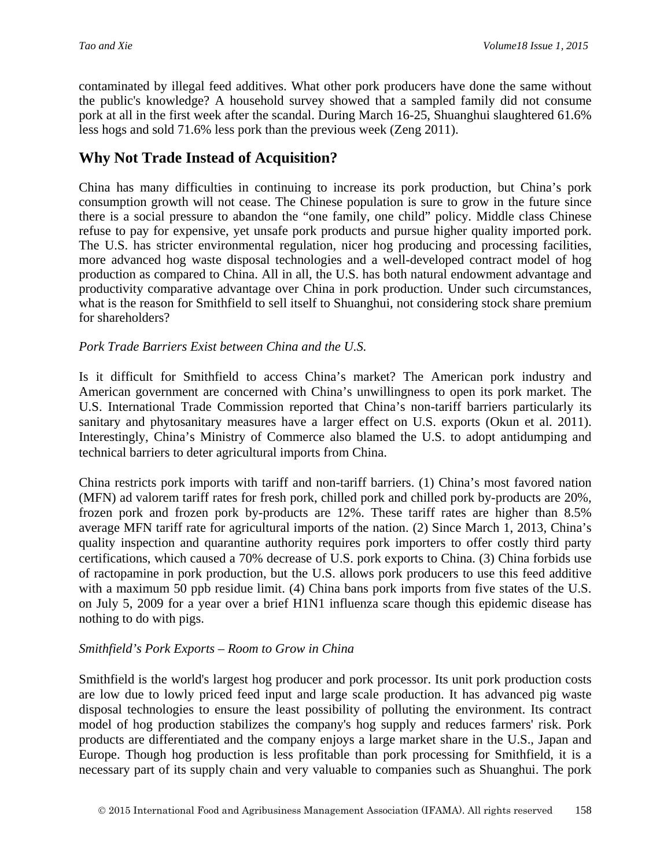contaminated by illegal feed additives. What other pork producers have done the same without the public's knowledge? A household survey showed that a sampled family did not consume pork at all in the first week after the scandal. During March 16-25, Shuanghui slaughtered 61.6% less hogs and sold 71.6% less pork than the previous week (Zeng 2011).

## **Why Not Trade Instead of Acquisition?**

China has many difficulties in continuing to increase its pork production, but China's pork consumption growth will not cease. The Chinese population is sure to grow in the future since there is a social pressure to abandon the "one family, one child" policy. Middle class Chinese refuse to pay for expensive, yet unsafe pork products and pursue higher quality imported pork. The U.S. has stricter environmental regulation, nicer hog producing and processing facilities, more advanced hog waste disposal technologies and a well-developed contract model of hog production as compared to China. All in all, the U.S. has both natural endowment advantage and productivity comparative advantage over China in pork production. Under such circumstances, what is the reason for Smithfield to sell itself to Shuanghui, not considering stock share premium for shareholders?

## *Pork Trade Barriers Exist between China and the U.S.*

Is it difficult for Smithfield to access China's market? The American pork industry and American government are concerned with China's unwillingness to open its pork market. The U.S. International Trade Commission reported that China's non-tariff barriers particularly its sanitary and phytosanitary measures have a larger effect on U.S. exports (Okun et al. 2011). Interestingly, China's Ministry of Commerce also blamed the U.S. to adopt antidumping and technical barriers to deter agricultural imports from China.

China restricts pork imports with tariff and non-tariff barriers. (1) China's most favored nation (MFN) ad valorem tariff rates for fresh pork, chilled pork and chilled pork by-products are 20%, frozen pork and frozen pork by-products are 12%. These tariff rates are higher than 8.5% average MFN tariff rate for agricultural imports of the nation. (2) Since March 1, 2013, China's quality inspection and quarantine authority requires pork importers to offer costly third party certifications, which caused a 70% decrease of U.S. pork exports to China. (3) China forbids use of ractopamine in pork production, but the U.S. allows pork producers to use this feed additive with a maximum 50 ppb residue limit. (4) China bans pork imports from five states of the U.S. on July 5, 2009 for a year over a brief H1N1 influenza scare though this epidemic disease has nothing to do with pigs.

#### *Smithfield's Pork Exports – Room to Grow in China*

Smithfield is the world's largest hog producer and pork processor. Its unit pork production costs are low due to lowly priced feed input and large scale production. It has advanced pig waste disposal technologies to ensure the least possibility of polluting the environment. Its contract model of hog production stabilizes the company's hog supply and reduces farmers' risk. Pork products are differentiated and the company enjoys a large market share in the U.S., Japan and Europe. Though hog production is less profitable than pork processing for Smithfield, it is a necessary part of its supply chain and very valuable to companies such as Shuanghui. The pork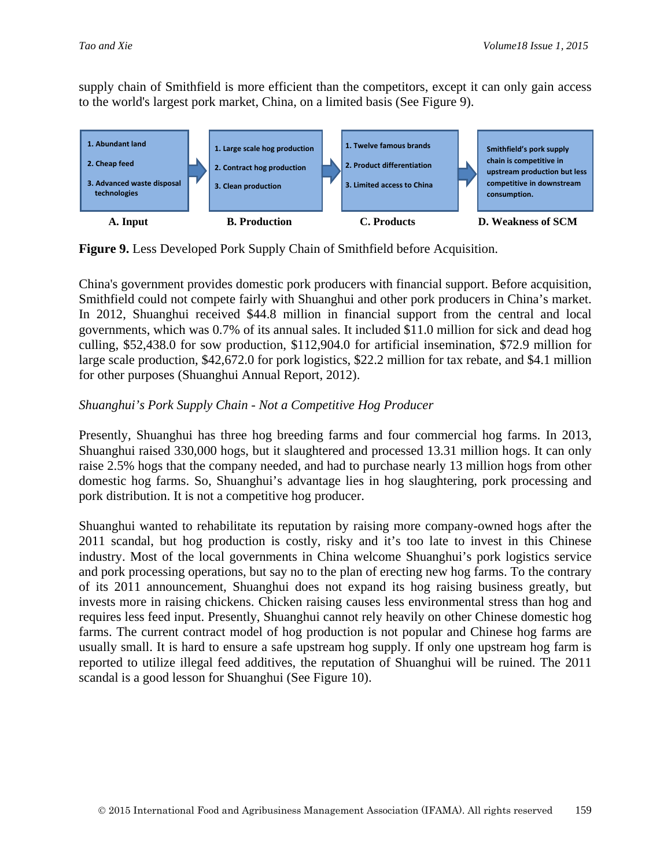supply chain of Smithfield is more efficient than the competitors, except it can only gain access to the world's largest pork market, China, on a limited basis (See Figure 9).



**Figure 9.** Less Developed Pork Supply Chain of Smithfield before Acquisition.

China's government provides domestic pork producers with financial support. Before acquisition, Smithfield could not compete fairly with Shuanghui and other pork producers in China's market. In 2012, Shuanghui received \$44.8 million in financial support from the central and local governments, which was 0.7% of its annual sales. It included \$11.0 million for sick and dead hog culling, \$52,438.0 for sow production, \$112,904.0 for artificial insemination, \$72.9 million for large scale production, \$42,672.0 for pork logistics, \$22.2 million for tax rebate, and \$4.1 million for other purposes (Shuanghui Annual Report, 2012).

## *Shuanghui's Pork Supply Chain - Not a Competitive Hog Producer*

Presently, Shuanghui has three hog breeding farms and four commercial hog farms. In 2013, Shuanghui raised 330,000 hogs, but it slaughtered and processed 13.31 million hogs. It can only raise 2.5% hogs that the company needed, and had to purchase nearly 13 million hogs from other domestic hog farms. So, Shuanghui's advantage lies in hog slaughtering, pork processing and pork distribution. It is not a competitive hog producer.

Shuanghui wanted to rehabilitate its reputation by raising more company-owned hogs after the 2011 scandal, but hog production is costly, risky and it's too late to invest in this Chinese industry. Most of the local governments in China welcome Shuanghui's pork logistics service and pork processing operations, but say no to the plan of erecting new hog farms. To the contrary of its 2011 announcement, Shuanghui does not expand its hog raising business greatly, but invests more in raising chickens. Chicken raising causes less environmental stress than hog and requires less feed input. Presently, Shuanghui cannot rely heavily on other Chinese domestic hog farms. The current contract model of hog production is not popular and Chinese hog farms are usually small. It is hard to ensure a safe upstream hog supply. If only one upstream hog farm is reported to utilize illegal feed additives, the reputation of Shuanghui will be ruined. The 2011 scandal is a good lesson for Shuanghui (See Figure 10).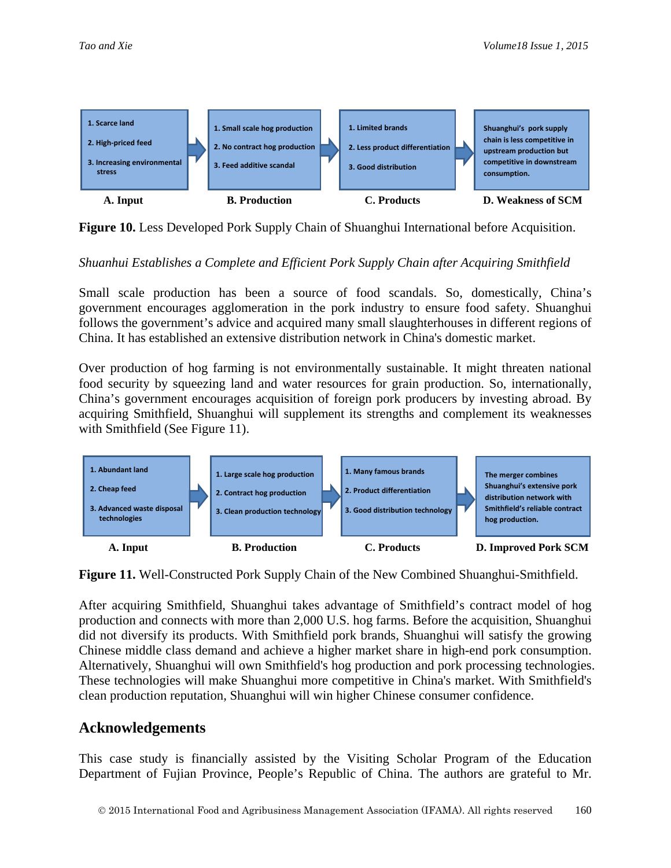

**Figure 10.** Less Developed Pork Supply Chain of Shuanghui International before Acquisition.

## *Shuanhui Establishes a Complete and Efficient Pork Supply Chain after Acquiring Smithfield*

Small scale production has been a source of food scandals. So, domestically, China's government encourages agglomeration in the pork industry to ensure food safety. Shuanghui follows the government's advice and acquired many small slaughterhouses in different regions of China. It has established an extensive distribution network in China's domestic market.

Over production of hog farming is not environmentally sustainable. It might threaten national food security by squeezing land and water resources for grain production. So, internationally, China's government encourages acquisition of foreign pork producers by investing abroad. By acquiring Smithfield, Shuanghui will supplement its strengths and complement its weaknesses with Smithfield (See Figure 11).



**Figure 11.** Well-Constructed Pork Supply Chain of the New Combined Shuanghui-Smithfield.

After acquiring Smithfield, Shuanghui takes advantage of Smithfield's contract model of hog production and connects with more than 2,000 U.S. hog farms. Before the acquisition, Shuanghui did not diversify its products. With Smithfield pork brands, Shuanghui will satisfy the growing Chinese middle class demand and achieve a higher market share in high-end pork consumption. Alternatively, Shuanghui will own Smithfield's hog production and pork processing technologies. These technologies will make Shuanghui more competitive in China's market. With Smithfield's clean production reputation, Shuanghui will win higher Chinese consumer confidence.

## **Acknowledgements**

This case study is financially assisted by the Visiting Scholar Program of the Education Department of Fujian Province, People's Republic of China. The authors are grateful to Mr.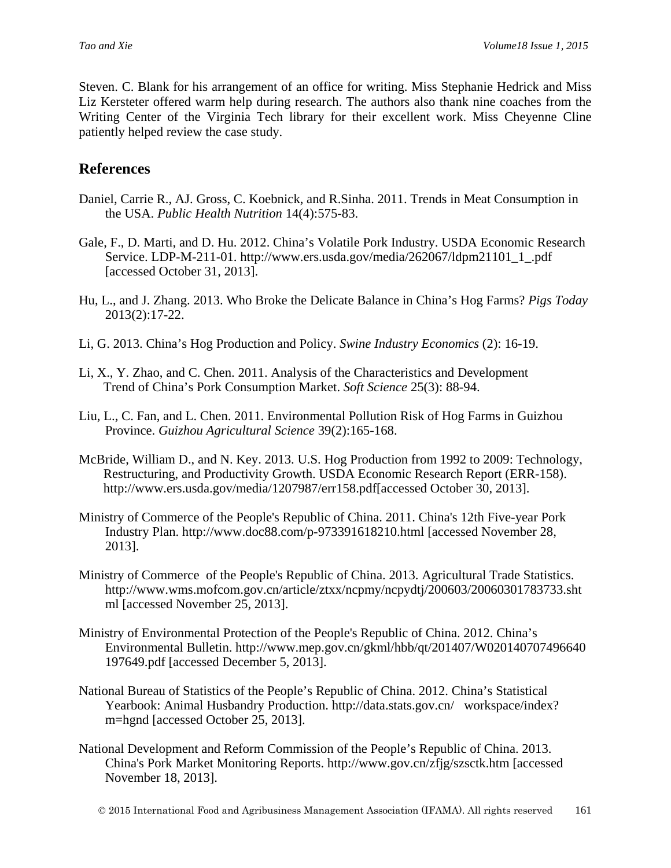Steven. C. Blank for his arrangement of an office for writing. Miss Stephanie Hedrick and Miss Liz Kersteter offered warm help during research. The authors also thank nine coaches from the Writing Center of the Virginia Tech library for their excellent work. Miss Cheyenne Cline patiently helped review the case study.

## **References**

- Daniel, Carrie R., AJ. Gross, C. Koebnick, and R.Sinha. 2011. Trends in Meat Consumption in the USA. *Public Health Nutrition* 14(4):575-83.
- Gale, F., D. Marti, and D. Hu. 2012. China's Volatile Pork Industry. USDA Economic Research Service. LDP-M-211-01. http://www.ers.usda.gov/media/262067/ldpm21101\_1\_.pdf [accessed October 31, 2013].
- Hu, L., and J. Zhang. 2013. Who Broke the Delicate Balance in China's Hog Farms? *Pigs Today*  2013(2):17-22.
- Li, G. 2013. China's Hog Production and Policy. *Swine Industry Economics* (2): 16-19.
- Li, X., Y. Zhao, and C. Chen. 2011. Analysis of the Characteristics and Development Trend of China's Pork Consumption Market. *Soft Science* 25(3): 88-94.
- Liu, L., C. Fan, and L. Chen. 2011. Environmental Pollution Risk of Hog Farms in Guizhou Province. *Guizhou Agricultural Science* 39(2):165-168.
- McBride, William D., and N. Key. 2013. U.S. Hog Production from 1992 to 2009: Technology, Restructuring, and Productivity Growth. USDA Economic Research Report (ERR-158). http://www.ers.usda.gov/media/1207987/err158.pdf[accessed October 30, 2013].
- Ministry of Commerce of the People's Republic of China. 2011. China's 12th Five-year Pork Industry Plan. http://www.doc88.com/p-973391618210.html [accessed November 28, 2013].
- Ministry of Commerce of the People's Republic of China. 2013. Agricultural Trade Statistics. http://www.wms.mofcom.gov.cn/article/ztxx/ncpmy/ncpydtj/200603/20060301783733.sht ml [accessed November 25, 2013].
- Ministry of Environmental Protection of the People's Republic of China. 2012. China's Environmental Bulletin. http://www.mep.gov.cn/gkml/hbb/qt/201407/W020140707496640 197649.pdf [accessed December 5, 2013].
- National Bureau of Statistics of the People's Republic of China. 2012. China's Statistical Yearbook: Animal Husbandry Production. http://data.stats.gov.cn/ workspace/index? m=hgnd [accessed October 25, 2013].
- National Development and Reform Commission of the People's Republic of China. 2013. China's Pork Market Monitoring Reports. http://www.gov.cn/zfjg/szsctk.htm [accessed November 18, 2013].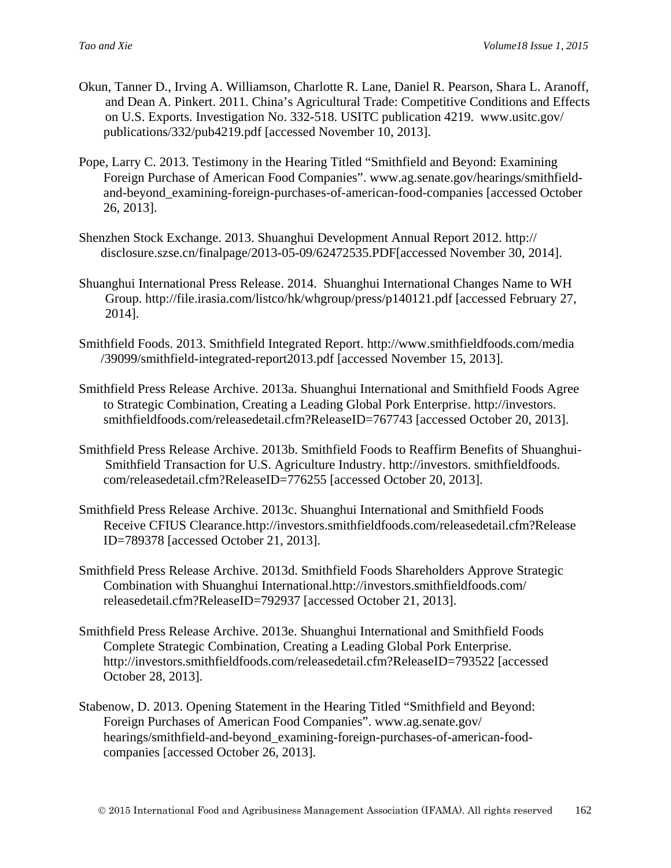- Okun, Tanner D., Irving A. Williamson, Charlotte R. Lane, Daniel R. Pearson, Shara L. Aranoff, and Dean A. Pinkert. 2011. China's Agricultural Trade: Competitive Conditions and Effects on U.S. Exports. Investigation No. 332-518. USITC publication 4219. www.usitc.gov/ publications/332/pub4219.pdf [accessed November 10, 2013].
- Pope, Larry C. 2013. Testimony in the Hearing Titled "Smithfield and Beyond: Examining Foreign Purchase of American Food Companies". www.ag.senate.gov/hearings/smithfieldand-beyond\_examining-foreign-purchases-of-american-food-companies [accessed October 26, 2013].
- Shenzhen Stock Exchange. 2013. Shuanghui Development Annual Report 2012. http:// disclosure.szse.cn/finalpage/2013-05-09/62472535.PDF[accessed November 30, 2014].
- Shuanghui International Press Release. 2014. Shuanghui International Changes Name to WH Group. http://file.irasia.com/listco/hk/whgroup/press/p140121.pdf [accessed February 27, 2014].
- Smithfield Foods. 2013. Smithfield Integrated Report. http://www.smithfieldfoods.com/media /39099/smithfield-integrated-report2013.pdf [accessed November 15, 2013].
- Smithfield Press Release Archive. 2013a. Shuanghui International and Smithfield Foods Agree to Strategic Combination, Creating a Leading Global Pork Enterprise. http://investors. smithfieldfoods.com/releasedetail.cfm?ReleaseID=767743 [accessed October 20, 2013].
- Smithfield Press Release Archive. 2013b. Smithfield Foods to Reaffirm Benefits of Shuanghui-Smithfield Transaction for U.S. Agriculture Industry. http://investors. smithfieldfoods. com/releasedetail.cfm?ReleaseID=776255 [accessed October 20, 2013].
- Smithfield Press Release Archive. 2013c. Shuanghui International and Smithfield Foods Receive CFIUS Clearance.http://investors.smithfieldfoods.com/releasedetail.cfm?Release ID=789378 [accessed October 21, 2013].
- Smithfield Press Release Archive. 2013d. Smithfield Foods Shareholders Approve Strategic Combination with Shuanghui International.http://investors.smithfieldfoods.com/ releasedetail.cfm?ReleaseID=792937 [accessed October 21, 2013].
- Smithfield Press Release Archive. 2013e. Shuanghui International and Smithfield Foods Complete Strategic Combination, Creating a Leading Global Pork Enterprise. http://investors.smithfieldfoods.com/releasedetail.cfm?ReleaseID=793522 [accessed October 28, 2013].
- Stabenow, D. 2013. Opening Statement in the Hearing Titled "Smithfield and Beyond: Foreign Purchases of American Food Companies". www.ag.senate.gov/ hearings/smithfield-and-beyond\_examining-foreign-purchases-of-american-foodcompanies [accessed October 26, 2013].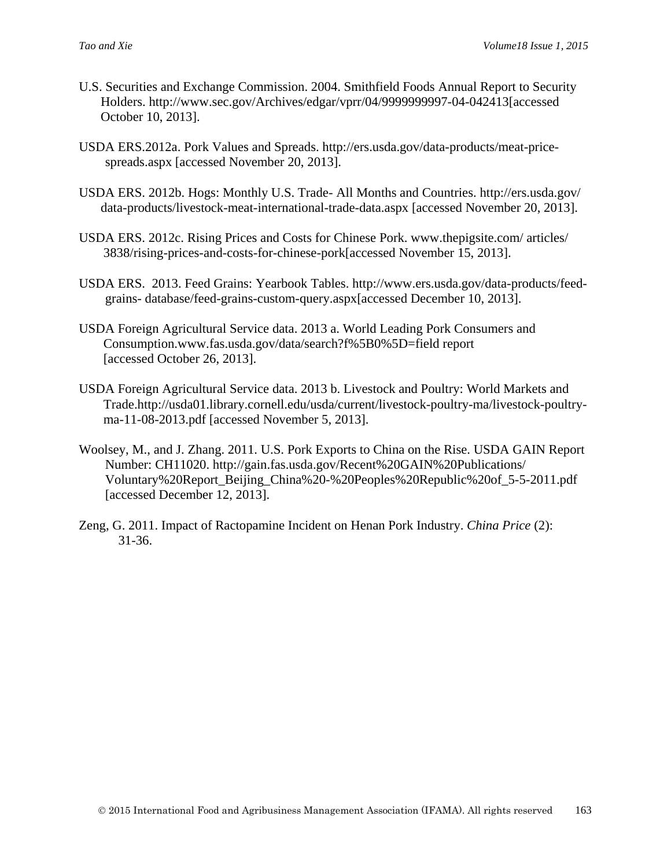- U.S. Securities and Exchange Commission. 2004. Smithfield Foods Annual Report to Security Holders. [http://www.sec.gov/Archives/edgar/vprr/04/9999999997-04-042413\[accessed](http://www.sec.gov/Archives/edgar/vprr/04/9999999997-04-042413%5baccessed) October 10, 2013].
- USDA ERS.2012a. Pork Values and Spreads. http://ers.usda.gov/data-products/meat-pricespreads.aspx [accessed November 20, 2013].
- USDA ERS. 2012b. Hogs: Monthly U.S. Trade- All Months and Countries. http://ers.usda.gov/ data-products/livestock-meat-international-trade-data.aspx [accessed November 20, 2013].
- USDA ERS. 2012c. Rising Prices and Costs for Chinese Pork. www.thepigsite.com/ articles/ 3838/rising-prices-and-costs-for-chinese-pork[accessed November 15, 2013].
- USDA ERS. 2013. Feed Grains: Yearbook Tables. http://www.ers.usda.gov/data-products/feedgrains- database/feed-grains-custom-query.aspx[accessed December 10, 2013].
- USDA Foreign Agricultural Service data. 2013 a. World Leading Pork Consumers and Consumption.www.fas.usda.gov/data/search?f%5B0%5D=field report [accessed October 26, 2013].
- USDA Foreign Agricultural Service data. 2013 b. Livestock and Poultry: World Markets and Trade.http://usda01.library.cornell.edu/usda/current/livestock-poultry-ma/livestock-poultryma-11-08-2013.pdf [accessed November 5, 2013].
- Woolsey, M., and J. Zhang. 2011. U.S. Pork Exports to China on the Rise. USDA GAIN Report Number: CH11020. http://gain.fas.usda.gov/Recent%20GAIN%20Publications/ Voluntary%20Report\_Beijing\_China%20-%20Peoples%20Republic%20of\_5-5-2011.pdf [accessed December 12, 2013].
- Zeng, G. 2011. Impact of Ractopamine Incident on Henan Pork Industry. *China Price* (2): 31-36.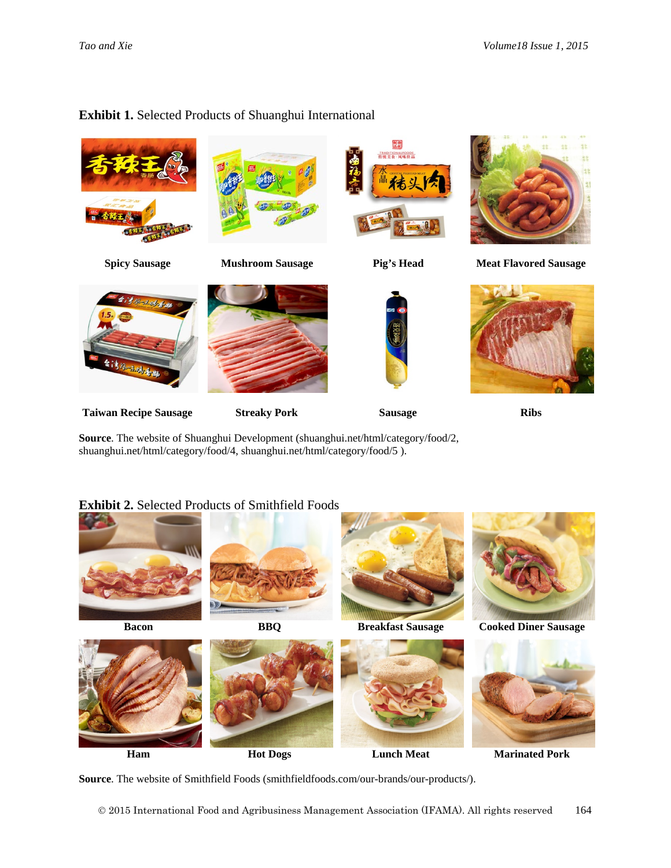# 龖 **RADITIONALFOOD Spicy Sausage Mushroom Sausage Pig's Head Meat Flavored Sausage** 法特鲁 **Taiwan Recipe Sausage Streaky Pork Sausage Ribs Source**. The website of Shuanghui Development (shuanghui.net/html/category/food/2, shuanghui.net/html/category/food/4, shuanghui.net/html/category/food/5 ). **Exhibit 2.** Selected Products of Smithfield Foods

#### **Exhibit 1.** Selected Products of Shuanghui International









**Source**. The website of Smithfield Foods (smithfieldfoods.com/our-brands/our-products/).